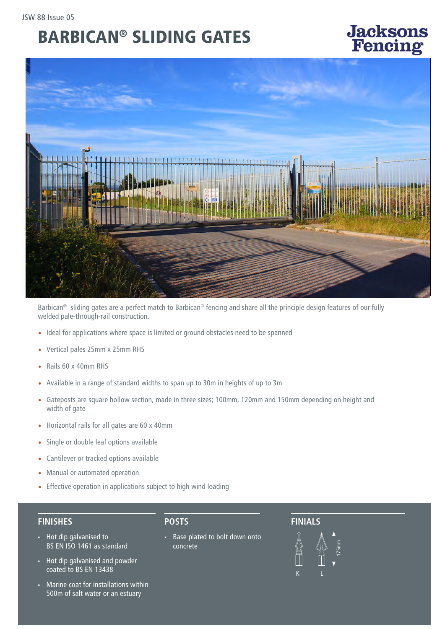#### JSW 88 Issue 05

## BARBICAN® SLIDING GATES

# **Jacksons**<br>Fencing



Barbican® sliding gates are a perfect match to Barbican® fencing and share all the principle design features of our fully welded pale-through-rail construction.

- Ideal for applications where space is limited or ground obstacles need to be spanned
- Vertical pales 25mm x 25mm RHS
- Rails 60 x 40mm RHS
- Available in a range of standard widths to span up to 30m in heights of up to 3m
- Gateposts are square hollow section, made in three sizes; 100mm, 120mm and 150mm depending on height and width of gate
- Horizontal rails for all gates are 60 x 40mm
- Single or double leaf options available
- Cantilever or tracked options available
- Manual or automated operation
- Effective operation in applications subject to high wind loading

#### **FINISHES**

- Hot dip galvanised to BS EN ISO 1461 as standard
- Hot dip galvanised and powder coated to BS EN 13438
- Marine coat for installations within 500m of salt water or an estuary

#### **POSTS**

• Base plated to bolt down onto concrete

### **FINIALS**